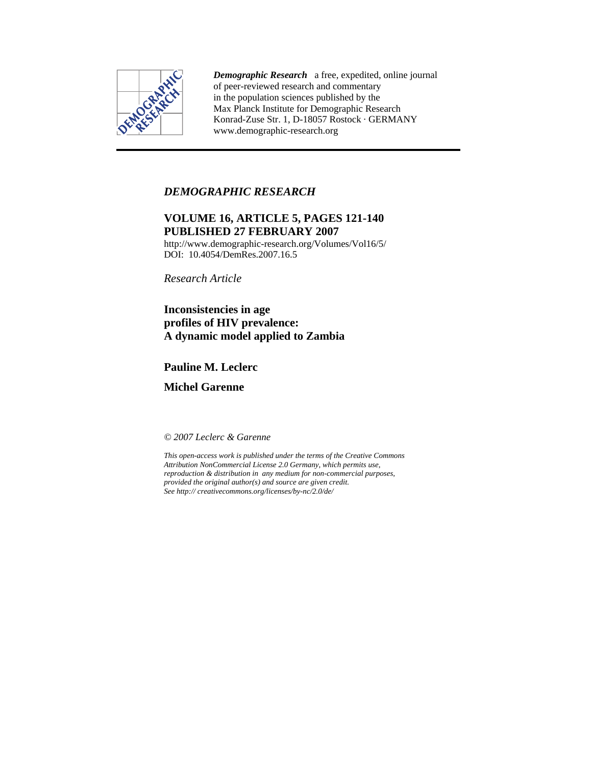

*Demographic Research* a free, expedited, online journal of peer-reviewed research and commentary in the population sciences published by the Max Planck Institute for Demographic Research Konrad-Zuse Str. 1, D-18057 Rostock · GERMANY www.demographic-research.org

# *DEMOGRAPHIC RESEARCH*

# **VOLUME 16, ARTICLE 5, PAGES 121-140 PUBLISHED 27 FEBRUARY 2007**

http://www.demographic-research.org/Volumes/Vol16/5/ DOI: 10.4054/DemRes. 2007.16.5

*Research Article* 

**Inconsistencies in age profiles of HIV prevalence: A dynamic model applied to Zambia** 

# **Pauline M. Leclerc**

# **Michel Garenne**

*© 2007 Leclerc & Garenne* 

*This open-access work is published under the terms of the Creative Commons Attribution NonCommercial License 2.0 Germany, which permits use, reproduction & distribution in any medium for non-commercial purposes, provided the original author(s) and source are given credit. See http:// creativecommons.org/licenses/by-nc/2.0/de/*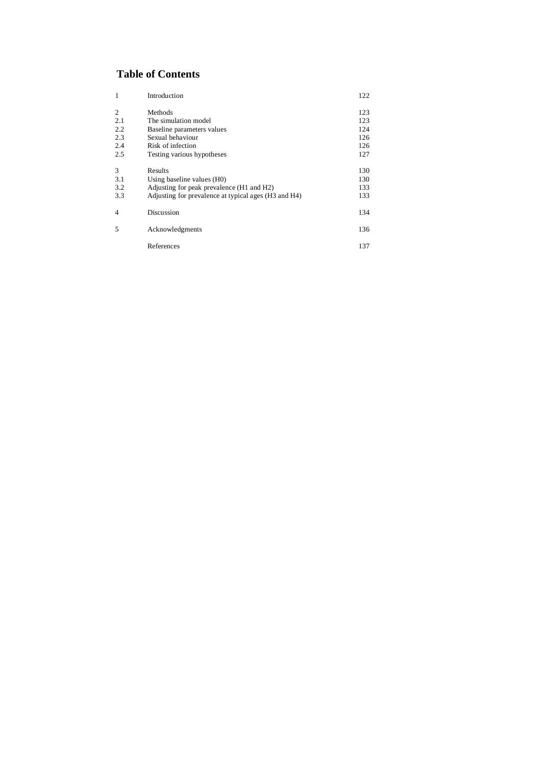# **Table of Contents**

| $\mathbf{1}$   | Introduction                                         | 122 |
|----------------|------------------------------------------------------|-----|
| 2              | Methods                                              | 123 |
| 2.1            | The simulation model                                 | 123 |
| 2.2            | Baseline parameters values                           | 124 |
| 2.3            | Sexual behaviour                                     | 126 |
| 2.4            | Risk of infection                                    | 126 |
| 2.5            | Testing various hypotheses                           | 127 |
| 3              | Results                                              | 130 |
| 3.1            | Using baseline values (H0)                           | 130 |
| 3.2            | Adjusting for peak prevalence (H1 and H2)            | 133 |
| 3.3            | Adjusting for prevalence at typical ages (H3 and H4) | 133 |
| $\overline{4}$ | Discussion                                           | 134 |
| 5              | Acknowledgments                                      | 136 |
|                | References                                           | 137 |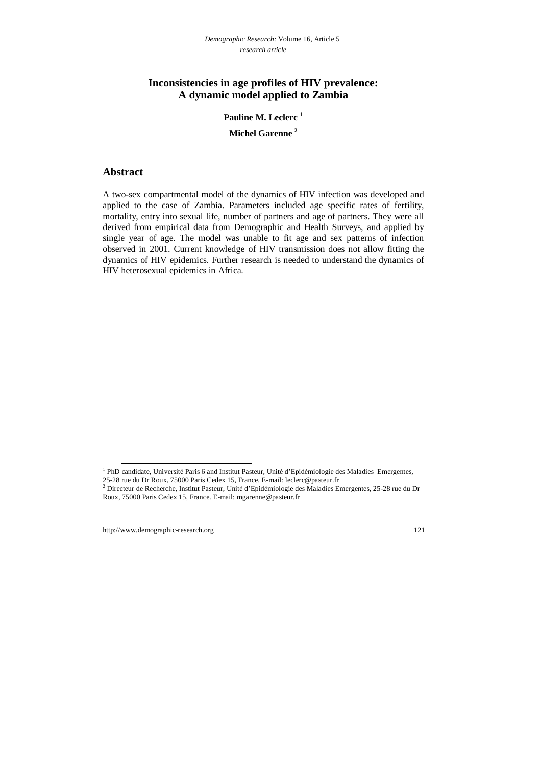## **Inconsistencies in age profiles of HIV prevalence: A dynamic model applied to Zambia**

**Pauline M. Leclerc 1 Michel Garenne 2**

## **Abstract**

A two-sex compartmental model of the dynamics of HIV infection was developed and applied to the case of Zambia. Parameters included age specific rates of fertility, mortality, entry into sexual life, number of partners and age of partners. They were all derived from empirical data from Demographic and Health Surveys, and applied by single year of age. The model was unable to fit age and sex patterns of infection observed in 2001. Current knowledge of HIV transmission does not allow fitting the dynamics of HIV epidemics. Further research is needed to understand the dynamics of HIV heterosexual epidemics in Africa.

<sup>1&</sup>lt;br>
<sup>1</sup> PhD candidate, Université Paris 6 and Institut Pasteur, Unité d'Epidémiologie des Maladies Emergentes,

<sup>25-28</sup> rue du Dr Roux, 75000 Paris Cedex 15, France. E-mail: leclerc@pasteur.fr<br><sup>2</sup> Directeur de Recherche, Institut Pasteur, Unité d'Epidémiologie des Maladies Emergentes, 25-28 rue du Dr Roux, 75000 Paris Cedex 15, France. E-mail: mgarenne@pasteur.fr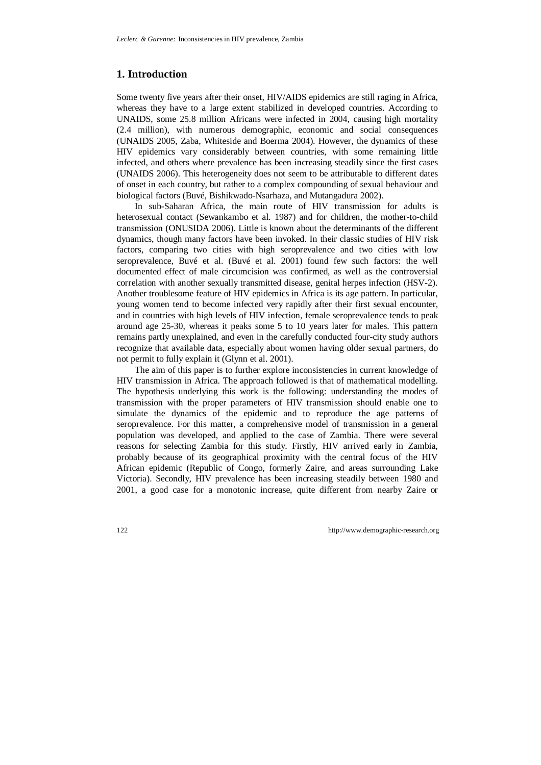## **1. Introduction**

Some twenty five years after their onset, HIV/AIDS epidemics are still raging in Africa, whereas they have to a large extent stabilized in developed countries. According to UNAIDS, some 25.8 million Africans were infected in 2004, causing high mortality (2.4 million), with numerous demographic, economic and social consequences (UNAIDS 2005, Zaba, Whiteside and Boerma 2004). However, the dynamics of these HIV epidemics vary considerably between countries, with some remaining little infected, and others where prevalence has been increasing steadily since the first cases (UNAIDS 2006). This heterogeneity does not seem to be attributable to different dates of onset in each country, but rather to a complex compounding of sexual behaviour and biological factors (Buvé, Bishikwado-Nsarhaza, and Mutangadura 2002).

In sub-Saharan Africa, the main route of HIV transmission for adults is heterosexual contact (Sewankambo et al. 1987) and for children, the mother-to-child transmission (ONUSIDA 2006). Little is known about the determinants of the different dynamics, though many factors have been invoked. In their classic studies of HIV risk factors, comparing two cities with high seroprevalence and two cities with low seroprevalence, Buvé et al. (Buvé et al. 2001) found few such factors: the well documented effect of male circumcision was confirmed, as well as the controversial correlation with another sexually transmitted disease, genital herpes infection (HSV-2). Another troublesome feature of HIV epidemics in Africa is its age pattern. In particular, young women tend to become infected very rapidly after their first sexual encounter, and in countries with high levels of HIV infection, female seroprevalence tends to peak around age 25-30, whereas it peaks some 5 to 10 years later for males. This pattern remains partly unexplained, and even in the carefully conducted four-city study authors recognize that available data, especially about women having older sexual partners, do not permit to fully explain it (Glynn et al. 2001).

The aim of this paper is to further explore inconsistencies in current knowledge of HIV transmission in Africa. The approach followed is that of mathematical modelling. The hypothesis underlying this work is the following: understanding the modes of transmission with the proper parameters of HIV transmission should enable one to simulate the dynamics of the epidemic and to reproduce the age patterns of seroprevalence. For this matter, a comprehensive model of transmission in a general population was developed, and applied to the case of Zambia. There were several reasons for selecting Zambia for this study. Firstly, HIV arrived early in Zambia, probably because of its geographical proximity with the central focus of the HIV African epidemic (Republic of Congo, formerly Zaire, and areas surrounding Lake Victoria). Secondly, HIV prevalence has been increasing steadily between 1980 and 2001, a good case for a monotonic increase, quite different from nearby Zaire or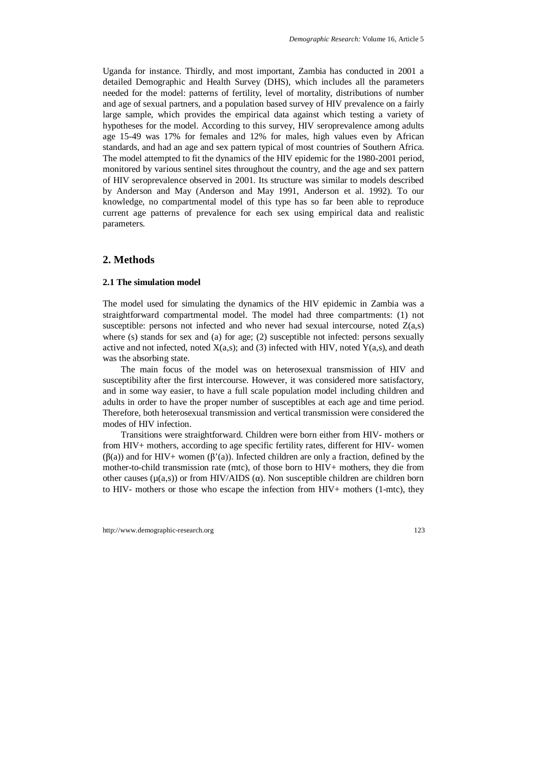Uganda for instance. Thirdly, and most important, Zambia has conducted in 2001 a detailed Demographic and Health Survey (DHS), which includes all the parameters needed for the model: patterns of fertility, level of mortality, distributions of number and age of sexual partners, and a population based survey of HIV prevalence on a fairly large sample, which provides the empirical data against which testing a variety of hypotheses for the model. According to this survey, HIV seroprevalence among adults age 15-49 was 17% for females and 12% for males, high values even by African standards, and had an age and sex pattern typical of most countries of Southern Africa. The model attempted to fit the dynamics of the HIV epidemic for the 1980-2001 period, monitored by various sentinel sites throughout the country, and the age and sex pattern of HIV seroprevalence observed in 2001. Its structure was similar to models described by Anderson and May (Anderson and May 1991, Anderson et al. 1992). To our knowledge, no compartmental model of this type has so far been able to reproduce current age patterns of prevalence for each sex using empirical data and realistic parameters.

### **2. Methods**

#### **2.1 The simulation model**

The model used for simulating the dynamics of the HIV epidemic in Zambia was a straightforward compartmental model. The model had three compartments: (1) not susceptible: persons not infected and who never had sexual intercourse, noted  $Z(a,s)$ where (s) stands for sex and (a) for age; (2) susceptible not infected: persons sexually active and not infected, noted  $X(a,s)$ ; and (3) infected with HIV, noted  $Y(a,s)$ , and death was the absorbing state.

The main focus of the model was on heterosexual transmission of HIV and susceptibility after the first intercourse. However, it was considered more satisfactory, and in some way easier, to have a full scale population model including children and adults in order to have the proper number of susceptibles at each age and time period. Therefore, both heterosexual transmission and vertical transmission were considered the modes of HIV infection.

Transitions were straightforward. Children were born either from HIV- mothers or from HIV+ mothers, according to age specific fertility rates, different for HIV- women  $(\beta(a))$  and for HIV+ women  $(\beta'(a))$ . Infected children are only a fraction, defined by the mother-to-child transmission rate (mtc), of those born to HIV+ mothers, they die from other causes ( $\mu(a,s)$ ) or from HIV/AIDS ( $\alpha$ ). Non susceptible children are children born to HIV- mothers or those who escape the infection from HIV+ mothers (1-mtc), they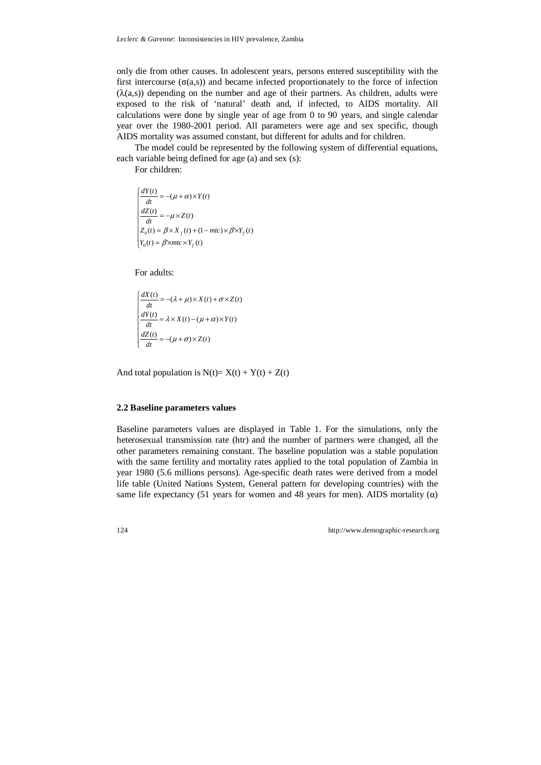only die from other causes. In adolescent years, persons entered susceptibility with the first intercourse  $(\sigma(a,s))$  and became infected proportionately to the force of infection  $(\lambda(a,s))$  depending on the number and age of their partners. As children, adults were exposed to the risk of 'natural' death and, if infected, to AIDS mortality. All calculations were done by single year of age from 0 to 90 years, and single calendar year over the 1980-2001 period. All parameters were age and sex specific, though AIDS mortality was assumed constant, but different for adults and for children.

The model could be represented by the following system of differential equations, each variable being defined for age (a) and sex (s):

For children:

$$
\begin{cases}\n\frac{dY(t)}{dt} = -(\mu + \alpha) \times Y(t) \\
\frac{dZ(t)}{dt} = -\mu \times Z(t) \\
Z_0(t) = \beta \times X_f(t) + (1 - mtc) \times \beta \times Y_f(t) \\
Y_0(t) = \beta \times mtc \times Y_f(t)\n\end{cases}
$$

For adults:

$$
\begin{cases}\n\frac{dX(t)}{dt} = -(\lambda + \mu) \times X(t) + \sigma \times Z(t) \\
\frac{dY(t)}{dt} = \lambda \times X(t) - (\mu + \alpha) \times Y(t) \\
\frac{dZ(t)}{dt} = -(\mu + \sigma) \times Z(t)\n\end{cases}
$$

And total population is  $N(t) = X(t) + Y(t) + Z(t)$ 

#### **2.2 Baseline parameters values**

Baseline parameters values are displayed in Table 1. For the simulations, only the heterosexual transmission rate (htr) and the number of partners were changed, all the other parameters remaining constant. The baseline population was a stable population with the same fertility and mortality rates applied to the total population of Zambia in year 1980 (5.6 millions persons). Age-specific death rates were derived from a model life table (United Nations System, General pattern for developing countries) with the same life expectancy (51 years for women and 48 years for men). AIDS mortality  $(\alpha)$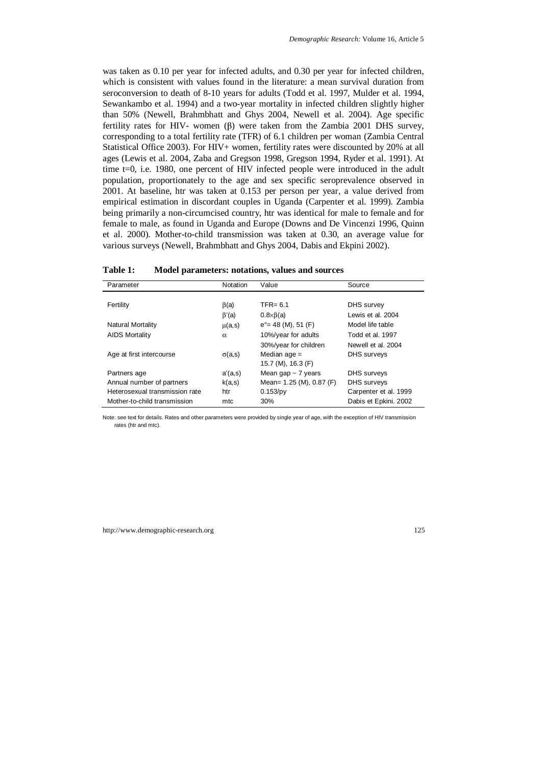was taken as 0.10 per year for infected adults, and 0.30 per year for infected children, which is consistent with values found in the literature: a mean survival duration from seroconversion to death of 8-10 years for adults (Todd et al. 1997, Mulder et al. 1994, Sewankambo et al. 1994) and a two-year mortality in infected children slightly higher than 50% (Newell, Brahmbhatt and Ghys 2004, Newell et al. 2004). Age specific fertility rates for HIV- women (β) were taken from the Zambia 2001 DHS survey, corresponding to a total fertility rate (TFR) of 6.1 children per woman (Zambia Central Statistical Office 2003). For HIV+ women, fertility rates were discounted by 20% at all ages (Lewis et al. 2004, Zaba and Gregson 1998, Gregson 1994, Ryder et al. 1991). At time t=0, i.e. 1980, one percent of HIV infected people were introduced in the adult population, proportionately to the age and sex specific seroprevalence observed in 2001. At baseline, htr was taken at 0.153 per person per year, a value derived from empirical estimation in discordant couples in Uganda (Carpenter et al. 1999). Zambia being primarily a non-circumcised country, htr was identical for male to female and for female to male, as found in Uganda and Europe (Downs and De Vincenzi 1996, Quinn et al. 2000). Mother-to-child transmission was taken at 0.30, an average value for various surveys (Newell, Brahmbhatt and Ghys 2004, Dabis and Ekpini 2002).

| Parameter                      | Notation      | Value                        | Source                |
|--------------------------------|---------------|------------------------------|-----------------------|
|                                |               |                              |                       |
| Fertility                      | $\beta$ (a)   | $TFR = 6.1$                  | DHS survey            |
|                                | $\beta'(a)$   | $0.8\times \beta(a)$         | Lewis et al. 2004     |
| <b>Natural Mortality</b>       | $\mu(a,s)$    | $e^{\circ}$ = 48 (M), 51 (F) | Model life table      |
| <b>AIDS Mortality</b>          | $\alpha$      | 10%/year for adults          | Todd et al. 1997      |
|                                |               | 30%/year for children        | Newell et al. 2004    |
| Age at first intercourse       | $\sigma(a,s)$ | Median $aq$ e =              | DHS surveys           |
|                                |               | 15.7 (M), 16.3 (F)           |                       |
| Partners age                   | a'(a,s)       | Mean gap $\sim$ 7 years      | DHS surveys           |
| Annual number of partners      | k(a,s)        | Mean= 1.25 (M), 0.87 (F)     | <b>DHS</b> surveys    |
| Heterosexual transmission rate | htr           | $0.153$ /py                  | Carpenter et al. 1999 |
| Mother-to-child transmission   | mtc           | 30%                          | Dabis et Epkini. 2002 |

**Table 1: Model parameters: notations, values and sources** 

Note: see text for details. Rates and other parameters were provided by single year of age, with the exception of HIV transmission rates (htr and mtc).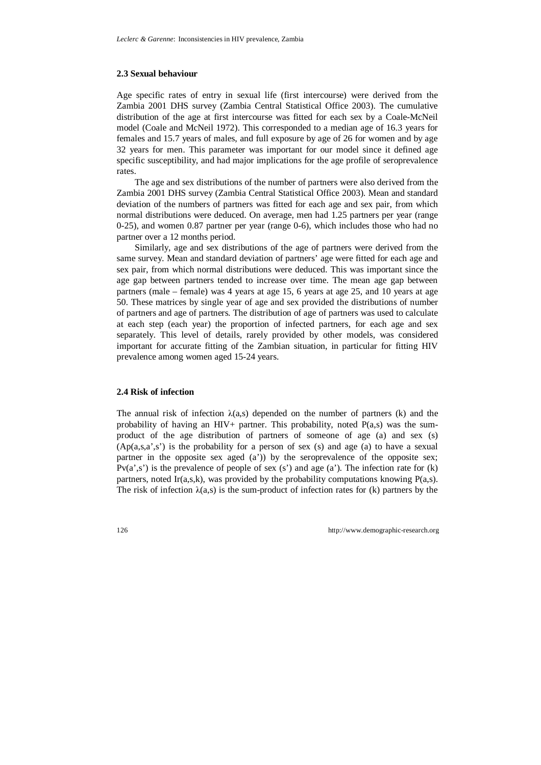#### **2.3 Sexual behaviour**

Age specific rates of entry in sexual life (first intercourse) were derived from the Zambia 2001 DHS survey (Zambia Central Statistical Office 2003). The cumulative distribution of the age at first intercourse was fitted for each sex by a Coale-McNeil model (Coale and McNeil 1972). This corresponded to a median age of 16.3 years for females and 15.7 years of males, and full exposure by age of 26 for women and by age 32 years for men. This parameter was important for our model since it defined age specific susceptibility, and had major implications for the age profile of seroprevalence rates.

The age and sex distributions of the number of partners were also derived from the Zambia 2001 DHS survey (Zambia Central Statistical Office 2003). Mean and standard deviation of the numbers of partners was fitted for each age and sex pair, from which normal distributions were deduced. On average, men had 1.25 partners per year (range 0-25), and women 0.87 partner per year (range 0-6), which includes those who had no partner over a 12 months period.

Similarly, age and sex distributions of the age of partners were derived from the same survey. Mean and standard deviation of partners' age were fitted for each age and sex pair, from which normal distributions were deduced. This was important since the age gap between partners tended to increase over time. The mean age gap between partners (male – female) was 4 years at age 15, 6 years at age 25, and 10 years at age 50. These matrices by single year of age and sex provided the distributions of number of partners and age of partners. The distribution of age of partners was used to calculate at each step (each year) the proportion of infected partners, for each age and sex separately. This level of details, rarely provided by other models, was considered important for accurate fitting of the Zambian situation, in particular for fitting HIV prevalence among women aged 15-24 years.

#### **2.4 Risk of infection**

The annual risk of infection  $\lambda(a,s)$  depended on the number of partners (k) and the probability of having an HIV+ partner. This probability, noted  $P(a,s)$  was the sumproduct of the age distribution of partners of someone of age (a) and sex (s)  $(Ap(a,s,a',s')$  is the probability for a person of sex (s) and age (a) to have a sexual partner in the opposite sex aged (a')) by the seroprevalence of the opposite sex;  $Pv(a',s')$  is the prevalence of people of sex (s') and age (a'). The infection rate for (k) partners, noted Ir( $a,s,k$ ), was provided by the probability computations knowing  $P(a,s)$ . The risk of infection  $\lambda(a,s)$  is the sum-product of infection rates for (k) partners by the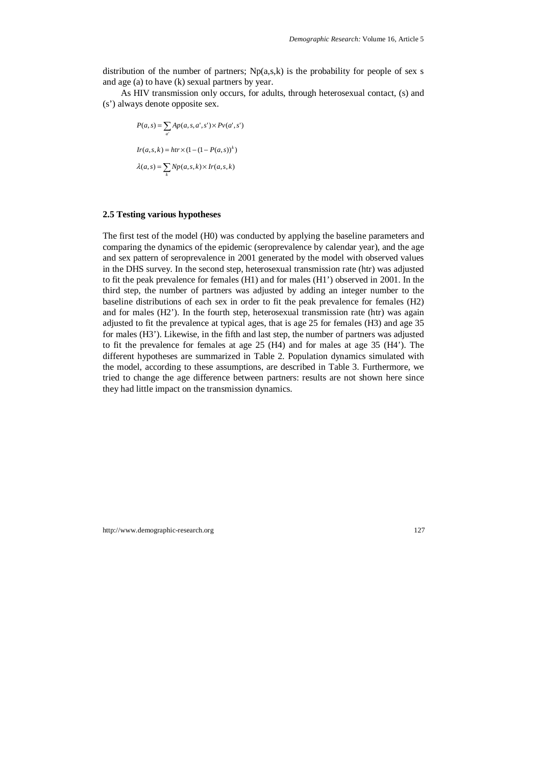distribution of the number of partners;  $Np(a,s,k)$  is the probability for people of sex s and age (a) to have (k) sexual partners by year.

As HIV transmission only occurs, for adults, through heterosexual contact, (s) and (s') always denote opposite sex.

$$
P(a,s) = \sum_{a'} Ap(a,s,a',s') \times Pv(a',s')
$$
  

$$
Ir(a,s,k) = htr \times (1 - (1 - P(a,s))^k)
$$
  

$$
\lambda(a,s) = \sum_{k} Np(a,s,k) \times Ir(a,s,k)
$$

#### **2.5 Testing various hypotheses**

The first test of the model (H0) was conducted by applying the baseline parameters and comparing the dynamics of the epidemic (seroprevalence by calendar year), and the age and sex pattern of seroprevalence in 2001 generated by the model with observed values in the DHS survey. In the second step, heterosexual transmission rate (htr) was adjusted to fit the peak prevalence for females (H1) and for males (H1') observed in 2001. In the third step, the number of partners was adjusted by adding an integer number to the baseline distributions of each sex in order to fit the peak prevalence for females (H2) and for males (H2'). In the fourth step, heterosexual transmission rate (htr) was again adjusted to fit the prevalence at typical ages, that is age 25 for females (H3) and age 35 for males (H3'). Likewise, in the fifth and last step, the number of partners was adjusted to fit the prevalence for females at age 25 (H4) and for males at age 35 (H4'). The different hypotheses are summarized in Table 2. Population dynamics simulated with the model, according to these assumptions, are described in Table 3. Furthermore, we tried to change the age difference between partners: results are not shown here since they had little impact on the transmission dynamics.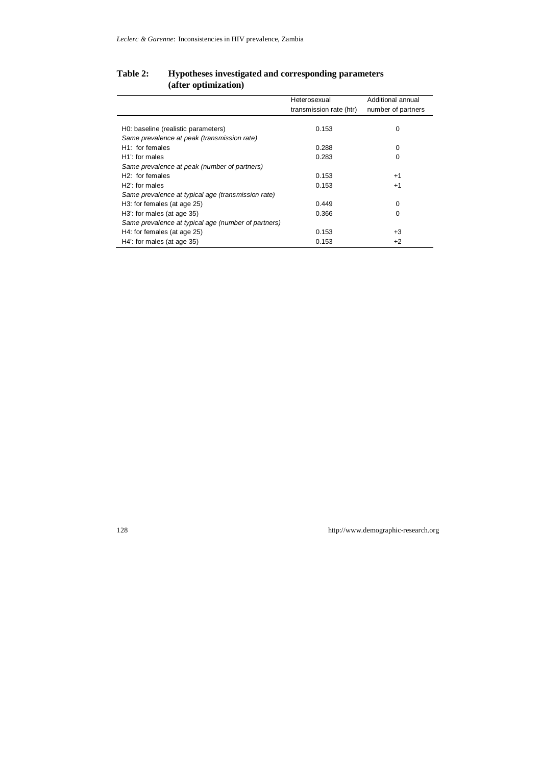| <b>Table 2:</b> | Hypotheses investigated and corresponding parameters |
|-----------------|------------------------------------------------------|
|                 | (after optimization)                                 |

|                                                     | Heterosexual            | Additional annual  |
|-----------------------------------------------------|-------------------------|--------------------|
|                                                     | transmission rate (htr) | number of partners |
| H0: baseline (realistic parameters)                 | 0.153                   | 0                  |
| Same prevalence at peak (transmission rate)         |                         |                    |
| H <sub>1</sub> : for females                        | 0.288                   | 0                  |
| H <sub>1</sub> ': for males                         | 0.283                   | 0                  |
| Same prevalence at peak (number of partners)        |                         |                    |
| H <sub>2</sub> : for females                        | 0.153                   | $+1$               |
| H <sub>2</sub> ': for males                         | 0.153                   | $+1$               |
| Same prevalence at typical age (transmission rate)  |                         |                    |
| H3: for females (at age 25)                         | 0.449                   | 0                  |
| H3': for males (at age 35)                          | 0.366                   | 0                  |
| Same prevalence at typical age (number of partners) |                         |                    |
| H4: for females (at age 25)                         | 0.153                   | +3                 |
| $H4$ : for males (at age 35)                        | 0.153                   | +2                 |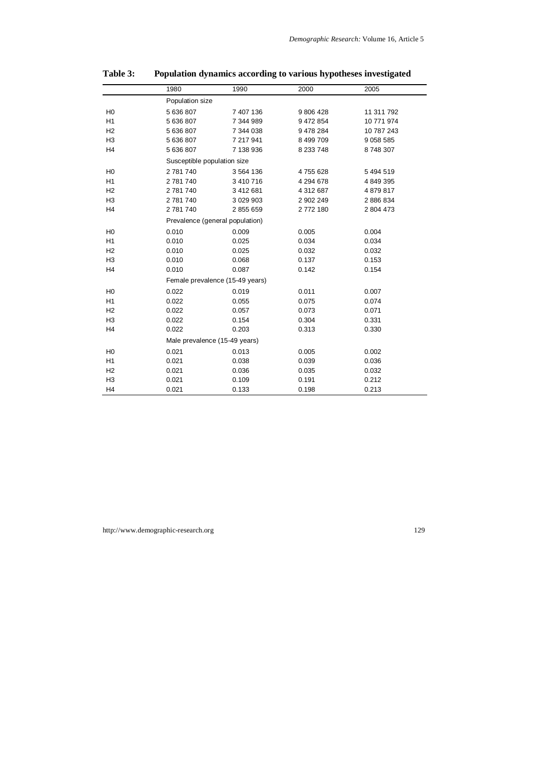|                | 1980                            | 1990                        | 2000        | 2005         |  |  |  |
|----------------|---------------------------------|-----------------------------|-------------|--------------|--|--|--|
|                | Population size                 |                             |             |              |  |  |  |
| H <sub>0</sub> | 5 636 807                       | 7 407 136                   | 9 806 428   | 11 311 792   |  |  |  |
| H1             | 5 636 807                       | 7 344 989                   | 9 472 854   | 10 771 974   |  |  |  |
| H <sub>2</sub> | 5 636 807                       | 7 344 038                   | 9478284     | 10 787 243   |  |  |  |
| H <sub>3</sub> | 5 636 807                       | 7 217 941                   | 8 499 709   | 9 0 58 5 8 5 |  |  |  |
| H4             | 5 636 807                       | 7 138 936                   | 8 2 3 7 4 8 | 8748307      |  |  |  |
|                |                                 | Susceptible population size |             |              |  |  |  |
| H <sub>0</sub> | 2 781 740                       | 3 5 6 4 1 3 6               | 4755628     | 5494519      |  |  |  |
| H1             | 2 781 740                       | 3 410 716                   | 4 294 678   | 4849395      |  |  |  |
| H <sub>2</sub> | 2 781 740                       | 3 412 681                   | 4 312 687   | 4879817      |  |  |  |
| H <sub>3</sub> | 2 781 740                       | 3 029 903                   | 2 902 249   | 2886834      |  |  |  |
| H4             | 2 781 740                       | 2 855 659                   | 2772180     | 2 804 473    |  |  |  |
|                | Prevalence (general population) |                             |             |              |  |  |  |
| H <sub>0</sub> | 0.010                           | 0.009                       | 0.005       | 0.004        |  |  |  |
| H1             | 0.010                           | 0.025                       | 0.034       | 0.034        |  |  |  |
| H <sub>2</sub> | 0.010                           | 0.025                       | 0.032       | 0.032        |  |  |  |
| H <sub>3</sub> | 0.010                           | 0.068                       | 0.137       | 0.153        |  |  |  |
| H4             | 0.010                           | 0.087                       | 0.142       | 0.154        |  |  |  |
|                | Female prevalence (15-49 years) |                             |             |              |  |  |  |
| H <sub>0</sub> | 0.022                           | 0.019                       | 0.011       | 0.007        |  |  |  |
| H1             | 0.022                           | 0.055                       | 0.075       | 0.074        |  |  |  |
| H <sub>2</sub> | 0.022                           | 0.057                       | 0.073       | 0.071        |  |  |  |
| H <sub>3</sub> | 0.022                           | 0.154                       | 0.304       | 0.331        |  |  |  |
| H <sub>4</sub> | 0.022                           | 0.203                       | 0.313       | 0.330        |  |  |  |
|                | Male prevalence (15-49 years)   |                             |             |              |  |  |  |
| H <sub>0</sub> | 0.021                           | 0.013                       | 0.005       | 0.002        |  |  |  |
| H1             | 0.021                           | 0.038                       | 0.039       | 0.036        |  |  |  |
| H <sub>2</sub> | 0.021                           | 0.036                       | 0.035       | 0.032        |  |  |  |
| H <sub>3</sub> | 0.021                           | 0.109                       | 0.191       | 0.212        |  |  |  |
| H <sub>4</sub> | 0.021                           | 0.133                       | 0.198       | 0.213        |  |  |  |

## **Table 3: Population dynamics according to various hypotheses investigated**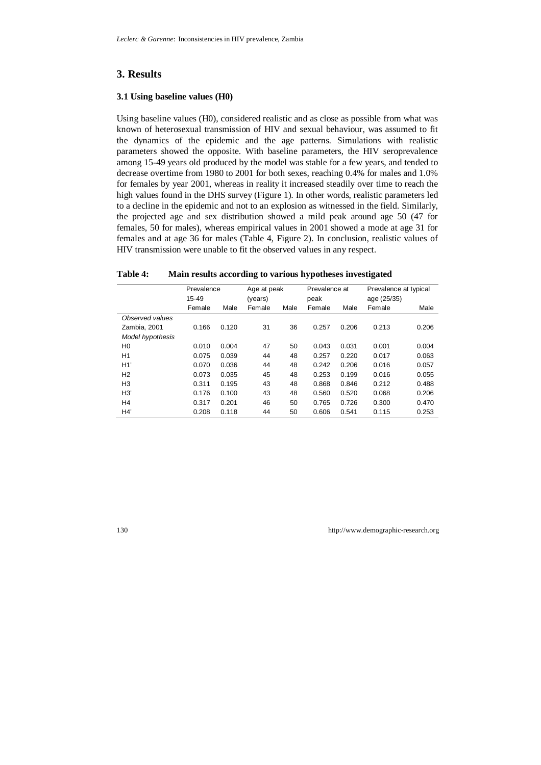## **3. Results**

### **3.1 Using baseline values (H0)**

Using baseline values (H0), considered realistic and as close as possible from what was known of heterosexual transmission of HIV and sexual behaviour, was assumed to fit the dynamics of the epidemic and the age patterns. Simulations with realistic parameters showed the opposite. With baseline parameters, the HIV seroprevalence among 15-49 years old produced by the model was stable for a few years, and tended to decrease overtime from 1980 to 2001 for both sexes, reaching 0.4% for males and 1.0% for females by year 2001, whereas in reality it increased steadily over time to reach the high values found in the DHS survey (Figure 1). In other words, realistic parameters led to a decline in the epidemic and not to an explosion as witnessed in the field. Similarly, the projected age and sex distribution showed a mild peak around age 50 (47 for females, 50 for males), whereas empirical values in 2001 showed a mode at age 31 for females and at age 36 for males (Table 4, Figure 2). In conclusion, realistic values of HIV transmission were unable to fit the observed values in any respect.

|                  | Prevalence<br>15-49 |       | Age at peak<br>(years) |      | Prevalence at<br>peak |       | Prevalence at typical<br>age (25/35) |       |
|------------------|---------------------|-------|------------------------|------|-----------------------|-------|--------------------------------------|-------|
|                  | Female              | Male  | Female                 | Male | Female                | Male  | Female                               | Male  |
| Observed values  |                     |       |                        |      |                       |       |                                      |       |
| Zambia, 2001     | 0.166               | 0.120 | 31                     | 36   | 0.257                 | 0.206 | 0.213                                | 0.206 |
| Model hypothesis |                     |       |                        |      |                       |       |                                      |       |
| H <sub>0</sub>   | 0.010               | 0.004 | 47                     | 50   | 0.043                 | 0.031 | 0.001                                | 0.004 |
| H1               | 0.075               | 0.039 | 44                     | 48   | 0.257                 | 0.220 | 0.017                                | 0.063 |
| H1'              | 0.070               | 0.036 | 44                     | 48   | 0.242                 | 0.206 | 0.016                                | 0.057 |
| H <sub>2</sub>   | 0.073               | 0.035 | 45                     | 48   | 0.253                 | 0.199 | 0.016                                | 0.055 |
| H <sub>3</sub>   | 0.311               | 0.195 | 43                     | 48   | 0.868                 | 0.846 | 0.212                                | 0.488 |
| H3'              | 0.176               | 0.100 | 43                     | 48   | 0.560                 | 0.520 | 0.068                                | 0.206 |
| H4               | 0.317               | 0.201 | 46                     | 50   | 0.765                 | 0.726 | 0.300                                | 0.470 |
| H4'              | 0.208               | 0.118 | 44                     | 50   | 0.606                 | 0.541 | 0.115                                | 0.253 |

**Table 4: Main results according to various hypotheses investigated**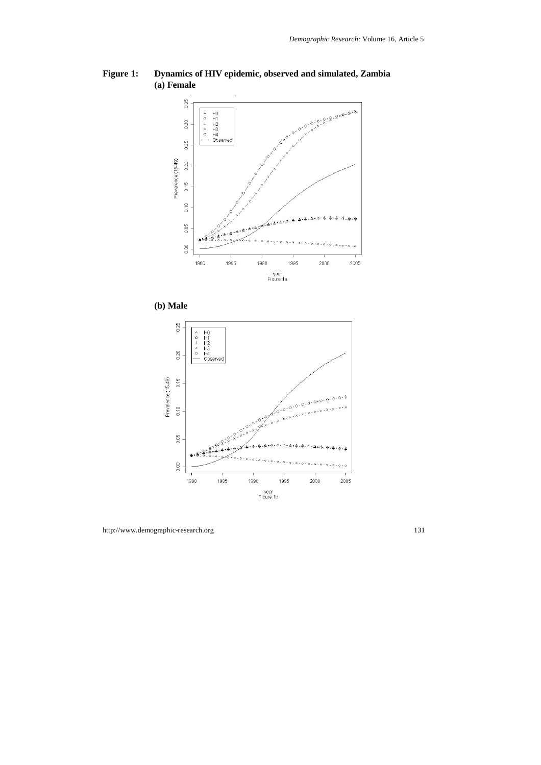

**Figure 1: Dynamics of HIV epidemic, observed and simulated, Zambia (a) Female** 

 **(b) Male** 

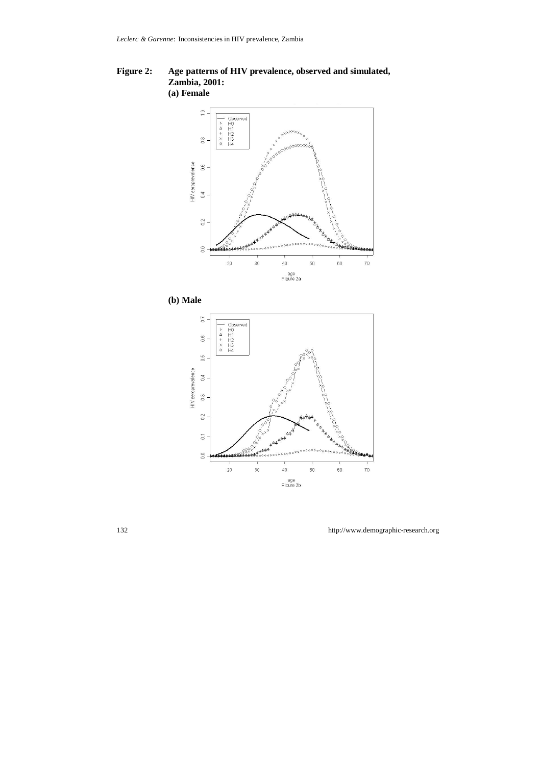### **Figure 2: Age patterns of HIV prevalence, observed and simulated, Zambia, 2001: (a) Female**



 **(b) Male** 

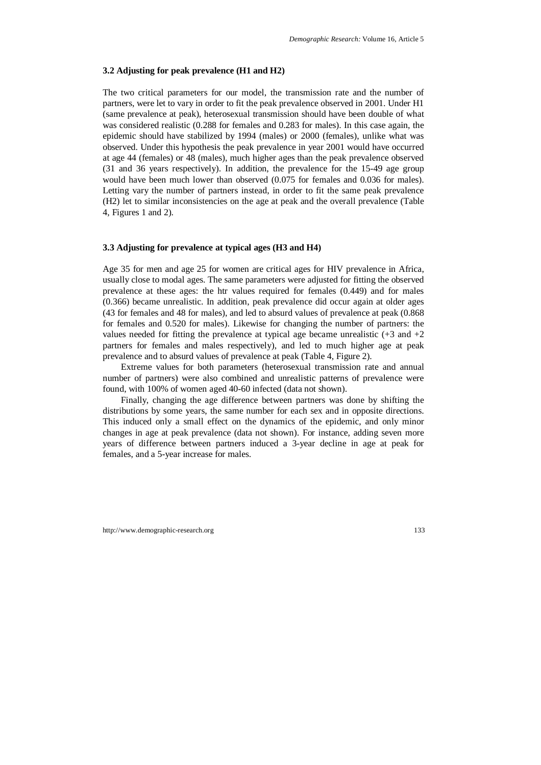#### **3.2 Adjusting for peak prevalence (H1 and H2)**

The two critical parameters for our model, the transmission rate and the number of partners, were let to vary in order to fit the peak prevalence observed in 2001. Under H1 (same prevalence at peak), heterosexual transmission should have been double of what was considered realistic (0.288 for females and 0.283 for males). In this case again, the epidemic should have stabilized by 1994 (males) or 2000 (females), unlike what was observed. Under this hypothesis the peak prevalence in year 2001 would have occurred at age 44 (females) or 48 (males), much higher ages than the peak prevalence observed (31 and 36 years respectively). In addition, the prevalence for the 15-49 age group would have been much lower than observed (0.075 for females and 0.036 for males). Letting vary the number of partners instead, in order to fit the same peak prevalence (H2) let to similar inconsistencies on the age at peak and the overall prevalence (Table 4, Figures 1 and 2).

#### **3.3 Adjusting for prevalence at typical ages (H3 and H4)**

Age 35 for men and age 25 for women are critical ages for HIV prevalence in Africa, usually close to modal ages. The same parameters were adjusted for fitting the observed prevalence at these ages: the htr values required for females (0.449) and for males (0.366) became unrealistic. In addition, peak prevalence did occur again at older ages (43 for females and 48 for males), and led to absurd values of prevalence at peak (0.868 for females and 0.520 for males). Likewise for changing the number of partners: the values needed for fitting the prevalence at typical age became unrealistic  $(+3 \text{ and } +2)$ partners for females and males respectively), and led to much higher age at peak prevalence and to absurd values of prevalence at peak (Table 4, Figure 2).

Extreme values for both parameters (heterosexual transmission rate and annual number of partners) were also combined and unrealistic patterns of prevalence were found, with 100% of women aged 40-60 infected (data not shown).

Finally, changing the age difference between partners was done by shifting the distributions by some years, the same number for each sex and in opposite directions. This induced only a small effect on the dynamics of the epidemic, and only minor changes in age at peak prevalence (data not shown). For instance, adding seven more years of difference between partners induced a 3-year decline in age at peak for females, and a 5-year increase for males.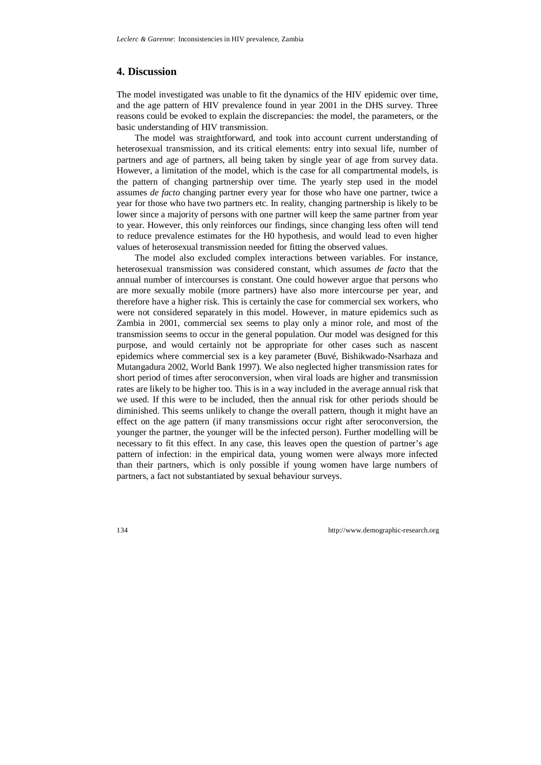### **4. Discussion**

The model investigated was unable to fit the dynamics of the HIV epidemic over time, and the age pattern of HIV prevalence found in year 2001 in the DHS survey. Three reasons could be evoked to explain the discrepancies: the model, the parameters, or the basic understanding of HIV transmission.

The model was straightforward, and took into account current understanding of heterosexual transmission, and its critical elements: entry into sexual life, number of partners and age of partners, all being taken by single year of age from survey data. However, a limitation of the model, which is the case for all compartmental models, is the pattern of changing partnership over time. The yearly step used in the model assumes *de facto* changing partner every year for those who have one partner, twice a year for those who have two partners etc. In reality, changing partnership is likely to be lower since a majority of persons with one partner will keep the same partner from year to year. However, this only reinforces our findings, since changing less often will tend to reduce prevalence estimates for the H0 hypothesis, and would lead to even higher values of heterosexual transmission needed for fitting the observed values.

The model also excluded complex interactions between variables. For instance, heterosexual transmission was considered constant, which assumes *de facto* that the annual number of intercourses is constant. One could however argue that persons who are more sexually mobile (more partners) have also more intercourse per year, and therefore have a higher risk. This is certainly the case for commercial sex workers, who were not considered separately in this model. However, in mature epidemics such as Zambia in 2001, commercial sex seems to play only a minor role, and most of the transmission seems to occur in the general population. Our model was designed for this purpose, and would certainly not be appropriate for other cases such as nascent epidemics where commercial sex is a key parameter (Buvé, Bishikwado-Nsarhaza and Mutangadura 2002, World Bank 1997). We also neglected higher transmission rates for short period of times after seroconversion, when viral loads are higher and transmission rates are likely to be higher too. This is in a way included in the average annual risk that we used. If this were to be included, then the annual risk for other periods should be diminished. This seems unlikely to change the overall pattern, though it might have an effect on the age pattern (if many transmissions occur right after seroconversion, the younger the partner, the younger will be the infected person). Further modelling will be necessary to fit this effect. In any case, this leaves open the question of partner's age pattern of infection: in the empirical data, young women were always more infected than their partners, which is only possible if young women have large numbers of partners, a fact not substantiated by sexual behaviour surveys.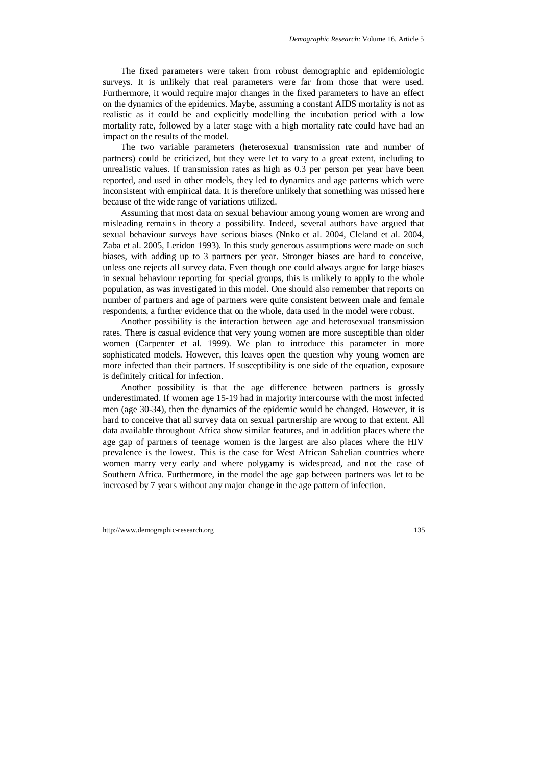The fixed parameters were taken from robust demographic and epidemiologic surveys. It is unlikely that real parameters were far from those that were used. Furthermore, it would require major changes in the fixed parameters to have an effect on the dynamics of the epidemics. Maybe, assuming a constant AIDS mortality is not as realistic as it could be and explicitly modelling the incubation period with a low mortality rate, followed by a later stage with a high mortality rate could have had an impact on the results of the model.

The two variable parameters (heterosexual transmission rate and number of partners) could be criticized, but they were let to vary to a great extent, including to unrealistic values. If transmission rates as high as 0.3 per person per year have been reported, and used in other models, they led to dynamics and age patterns which were inconsistent with empirical data. It is therefore unlikely that something was missed here because of the wide range of variations utilized.

Assuming that most data on sexual behaviour among young women are wrong and misleading remains in theory a possibility. Indeed, several authors have argued that sexual behaviour surveys have serious biases (Nnko et al. 2004, Cleland et al. 2004, Zaba et al. 2005, Leridon 1993). In this study generous assumptions were made on such biases, with adding up to 3 partners per year. Stronger biases are hard to conceive, unless one rejects all survey data. Even though one could always argue for large biases in sexual behaviour reporting for special groups, this is unlikely to apply to the whole population, as was investigated in this model. One should also remember that reports on number of partners and age of partners were quite consistent between male and female respondents, a further evidence that on the whole, data used in the model were robust.

Another possibility is the interaction between age and heterosexual transmission rates. There is casual evidence that very young women are more susceptible than older women (Carpenter et al. 1999). We plan to introduce this parameter in more sophisticated models. However, this leaves open the question why young women are more infected than their partners. If susceptibility is one side of the equation, exposure is definitely critical for infection.

Another possibility is that the age difference between partners is grossly underestimated. If women age 15-19 had in majority intercourse with the most infected men (age 30-34), then the dynamics of the epidemic would be changed. However, it is hard to conceive that all survey data on sexual partnership are wrong to that extent. All data available throughout Africa show similar features, and in addition places where the age gap of partners of teenage women is the largest are also places where the HIV prevalence is the lowest. This is the case for West African Sahelian countries where women marry very early and where polygamy is widespread, and not the case of Southern Africa. Furthermore, in the model the age gap between partners was let to be increased by 7 years without any major change in the age pattern of infection.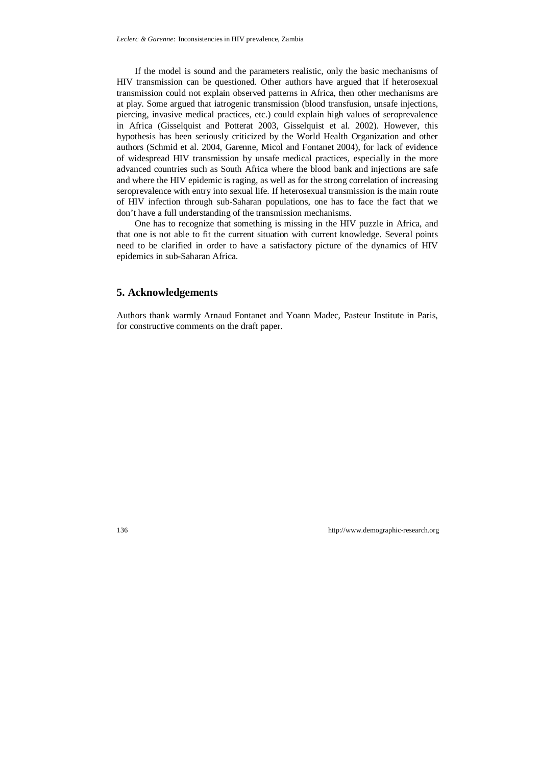If the model is sound and the parameters realistic, only the basic mechanisms of HIV transmission can be questioned. Other authors have argued that if heterosexual transmission could not explain observed patterns in Africa, then other mechanisms are at play. Some argued that iatrogenic transmission (blood transfusion, unsafe injections, piercing, invasive medical practices, etc.) could explain high values of seroprevalence in Africa (Gisselquist and Potterat 2003, Gisselquist et al. 2002). However, this hypothesis has been seriously criticized by the World Health Organization and other authors (Schmid et al. 2004, Garenne, Micol and Fontanet 2004), for lack of evidence of widespread HIV transmission by unsafe medical practices, especially in the more advanced countries such as South Africa where the blood bank and injections are safe and where the HIV epidemic is raging, as well as for the strong correlation of increasing seroprevalence with entry into sexual life. If heterosexual transmission is the main route of HIV infection through sub-Saharan populations, one has to face the fact that we don't have a full understanding of the transmission mechanisms.

One has to recognize that something is missing in the HIV puzzle in Africa, and that one is not able to fit the current situation with current knowledge. Several points need to be clarified in order to have a satisfactory picture of the dynamics of HIV epidemics in sub-Saharan Africa.

### **5. Acknowledgements**

Authors thank warmly Arnaud Fontanet and Yoann Madec, Pasteur Institute in Paris, for constructive comments on the draft paper.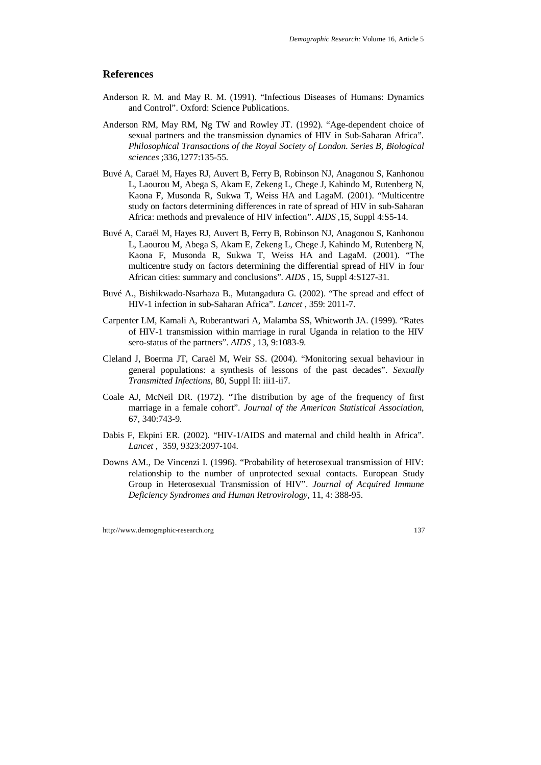### **References**

- Anderson R. M. and May R. M. (1991). "Infectious Diseases of Humans: Dynamics and Control". Oxford: Science Publications.
- Anderson RM, May RM, Ng TW and Rowley JT. (1992). "Age-dependent choice of sexual partners and the transmission dynamics of HIV in Sub-Saharan Africa"*. Philosophical Transactions of the Royal Society of London. Series B, Biological sciences* ;336,1277:135-55.
- Buvé A, Caraël M, Hayes RJ, Auvert B, Ferry B, Robinson NJ, Anagonou S, Kanhonou L, Laourou M, Abega S, Akam E, Zekeng L, Chege J, Kahindo M, Rutenberg N, Kaona F, Musonda R, Sukwa T, Weiss HA and LagaM. (2001). "Multicentre study on factors determining differences in rate of spread of HIV in sub-Saharan Africa: methods and prevalence of HIV infection". *AIDS* ,15, Suppl 4:S5-14.
- Buvé A, Caraël M, Hayes RJ, Auvert B, Ferry B, Robinson NJ, Anagonou S, Kanhonou L, Laourou M, Abega S, Akam E, Zekeng L, Chege J, Kahindo M, Rutenberg N, Kaona F, Musonda R, Sukwa T, Weiss HA and LagaM. (2001). "The multicentre study on factors determining the differential spread of HIV in four African cities: summary and conclusions". *AIDS* , 15, Suppl 4:S127-31.
- Buvé A., Bishikwado-Nsarhaza B., Mutangadura G. (2002). "The spread and effect of HIV-1 infection in sub-Saharan Africa". *Lancet* , 359: 2011-7.
- Carpenter LM, Kamali A, Ruberantwari A, Malamba SS, Whitworth JA. (1999). "Rates of HIV-1 transmission within marriage in rural Uganda in relation to the HIV sero-status of the partners". *AIDS* , 13, 9:1083-9.
- Cleland J, Boerma JT, Caraël M, Weir SS. (2004). "Monitoring sexual behaviour in general populations: a synthesis of lessons of the past decades". *Sexually Transmitted Infections*, 80, Suppl II: iii1-ii7.
- Coale AJ, McNeil DR. (1972). "The distribution by age of the frequency of first marriage in a female cohort". *Journal of the American Statistical Association*, 67, 340:743-9.
- Dabis F, Ekpini ER. (2002). "HIV-1/AIDS and maternal and child health in Africa". *Lancet* , 359, 9323:2097-104.
- Downs AM., De Vincenzi I. (1996). "Probability of heterosexual transmission of HIV: relationship to the number of unprotected sexual contacts. European Study Group in Heterosexual Transmission of HIV". *Journal of Acquired Immune Deficiency Syndromes and Human Retrovirology*, 11, 4: 388-95.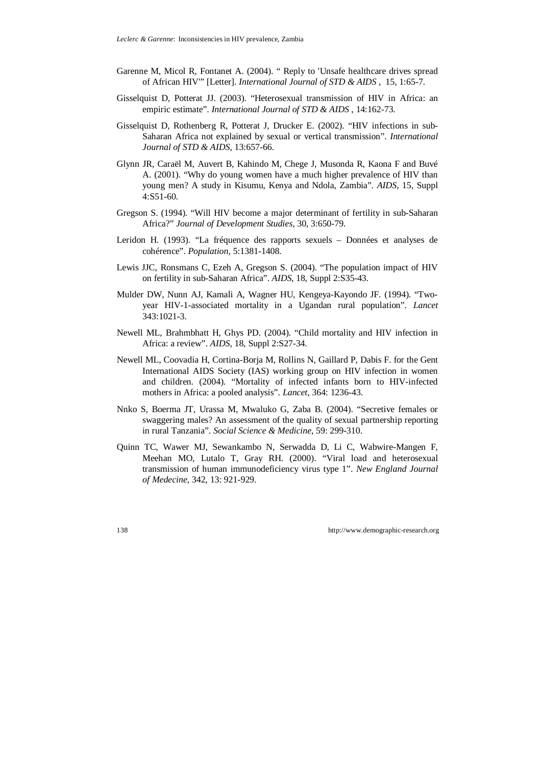- Garenne M, Micol R, Fontanet A. (2004). "Reply to 'Unsafe healthcare drives spread of African HIV'" [Letter]. *International Journal of STD & AIDS* , 15, 1:65-7.
- Gisselquist D, Potterat JJ. (2003). "Heterosexual transmission of HIV in Africa: an empiric estimate". *International Journal of STD & AIDS* , 14:162-73.
- Gisselquist D, Rothenberg R, Potterat J, Drucker E. (2002). "HIV infections in sub-Saharan Africa not explained by sexual or vertical transmission". *International Journal of STD & AIDS*, 13:657-66.
- Glynn JR, Caraël M, Auvert B, Kahindo M, Chege J, Musonda R, Kaona F and Buvé A. (2001). "Why do young women have a much higher prevalence of HIV than young men? A study in Kisumu, Kenya and Ndola, Zambia". *AIDS*, 15, Suppl 4:S51-60.
- Gregson S. (1994). "Will HIV become a major determinant of fertility in sub-Saharan Africa?" *Journal of Development Studies,* 30, 3:650-79.
- Leridon H. (1993). "La fréquence des rapports sexuels Données et analyses de cohérence". *Population*, 5:1381-1408.
- Lewis JJC, Ronsmans C, Ezeh A, Gregson S. (2004). "The population impact of HIV on fertility in sub-Saharan Africa". *AIDS*, 18, Suppl 2:S35-43.
- Mulder DW, Nunn AJ, Kamali A, Wagner HU, Kengeya-Kayondo JF. (1994). "Twoyear HIV-1-associated mortality in a Ugandan rural population". *Lancet* 343:1021-3.
- Newell ML, Brahmbhatt H, Ghys PD. (2004). "Child mortality and HIV infection in Africa: a review". *AIDS*, 18, Suppl 2:S27-34.
- Newell ML, Coovadia H, Cortina-Borja M, Rollins N, Gaillard P, Dabis F. for the Gent International AIDS Society (IAS) working group on HIV infection in women and children. (2004). "Mortality of infected infants born to HIV-infected mothers in Africa: a pooled analysis". *Lancet*, 364: 1236-43.
- Nnko S, Boerma JT, Urassa M, Mwaluko G, Zaba B. (2004). "Secretive females or swaggering males? An assessment of the quality of sexual partnership reporting in rural Tanzania". *Social Science & Medicine*, 59: 299-310.
- Quinn TC, Wawer MJ, Sewankambo N, Serwadda D, Li C, Wabwire-Mangen F, Meehan MO, Lutalo T, Gray RH. (2000). "Viral load and heterosexual transmission of human immunodeficiency virus type 1". *New England Journal of Medecine*, 342, 13: 921-929.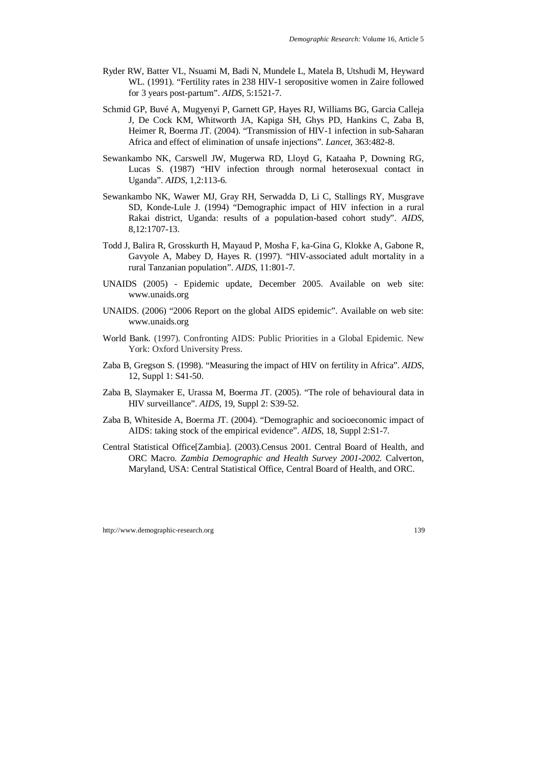- Ryder RW, Batter VL, Nsuami M, Badi N, Mundele L, Matela B, Utshudi M, Heyward WL. (1991). "Fertility rates in 238 HIV-1 seropositive women in Zaire followed for 3 years post-partum". *AIDS*, 5:1521-7.
- Schmid GP, Buvé A, Mugyenyi P, Garnett GP, Hayes RJ, Williams BG, Garcia Calleja J, De Cock KM, Whitworth JA, Kapiga SH, Ghys PD, Hankins C, Zaba B, Heimer R, Boerma JT. (2004). "Transmission of HIV-1 infection in sub-Saharan Africa and effect of elimination of unsafe injections". *Lancet*, 363:482-8.
- Sewankambo NK, Carswell JW, Mugerwa RD, Lloyd G, Kataaha P, Downing RG, Lucas S. (1987) "HIV infection through normal heterosexual contact in Uganda". *AIDS*, 1,2:113-6.
- Sewankambo NK, Wawer MJ, Gray RH, Serwadda D, Li C, Stallings RY, Musgrave SD, Konde-Lule J. (1994) "Demographic impact of HIV infection in a rural Rakai district, Uganda: results of a population-based cohort study". *AIDS*, 8,12:1707-13.
- Todd J, Balira R, Grosskurth H, Mayaud P, Mosha F, ka-Gina G, Klokke A, Gabone R, Gavyole A, Mabey D, Hayes R. (1997). "HIV-associated adult mortality in a rural Tanzanian population". *AIDS*, 11:801-7.
- UNAIDS (2005) Epidemic update, December 2005. Available on web site: www.unaids.org
- UNAIDS. (2006) "2006 Report on the global AIDS epidemic". Available on web site: www.unaids.org
- World Bank. (1997). Confronting AIDS: Public Priorities in a Global Epidemic*.* New York: Oxford University Press.
- Zaba B, Gregson S. (1998). "Measuring the impact of HIV on fertility in Africa". *AIDS*, 12, Suppl 1: S41-50.
- Zaba B, Slaymaker E, Urassa M, Boerma JT. (2005). "The role of behavioural data in HIV surveillance". *AIDS*, 19, Suppl 2: S39-52.
- Zaba B, Whiteside A, Boerma JT. (2004). "Demographic and socioeconomic impact of AIDS: taking stock of the empirical evidence". *AIDS*, 18, Suppl 2:S1-7.
- Central Statistical Office[Zambia]. (2003).Census 2001. Central Board of Health, and ORC Macro. *Zambia Demographic and Health Survey 2001-2002.* Calverton, Maryland, USA: Central Statistical Office, Central Board of Health, and ORC.